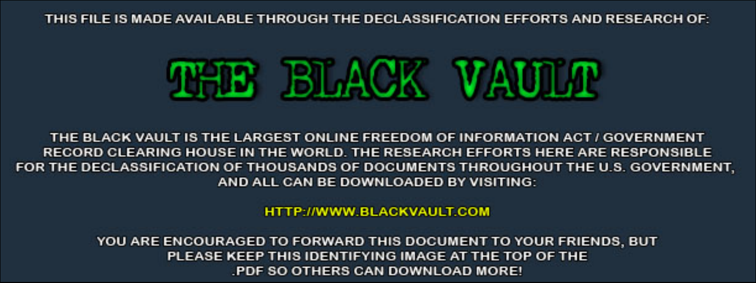THIS FILE IS MADE AVAILABLE THROUGH THE DECLASSIFICATION EFFORTS AND RESEARCH OF:



THE BLACK VAULT IS THE LARGEST ONLINE FREEDOM OF INFORMATION ACT / GOVERNMENT RECORD CLEARING HOUSE IN THE WORLD. THE RESEARCH EFFORTS HERE ARE RESPONSIBLE FOR THE DECLASSIFICATION OF THOUSANDS OF DOCUMENTS THROUGHOUT THE U.S. GOVERNMENT, AND ALL CAN BE DOWNLOADED BY VISITING:

**HTTP://WWW.BLACKVAULT.COM** 

YOU ARE ENCOURAGED TO FORWARD THIS DOCUMENT TO YOUR FRIENDS, BUT PLEASE KEEP THIS IDENTIFYING IMAGE AT THE TOP OF THE PDF SO OTHERS CAN DOWNLOAD MORE!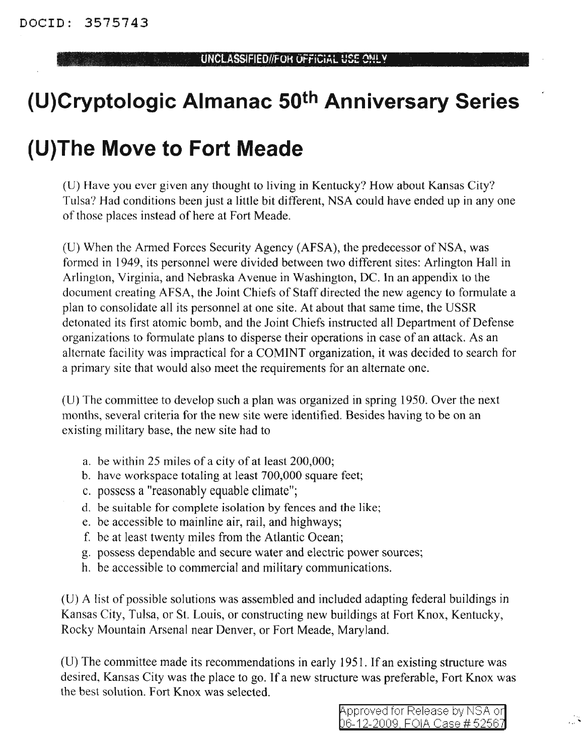## **(U)Cryptologic Almanac 50th Anniversary Series**

## **{U)The Move to Fort Meade**

(U) Have you ever given any thought to living in Kentucky? How about Kansas City? Tulsa? Had conditions been just a little bit different, NSA could have ended up in anyone of those places instead of here at Fort Meade.

(U) When the Armed Forces Security Agency (AFSA), the predecessor of NSA, was formed in 1949, its personnel were divided between two different sites: Arlington Hall in Arlington, Virginia, and Nebraska Avenue in Washington, DC. In an appendix to the document creating AFSA, the Joint Chiefs of Staff directed the new agency to formulate a plan to consolidate all its personnel at one site. At about that same time, the USSR detonated its first atomic bomb, and the Joint Chiefs instructed all Department of Defense organizations to formulate plans to disperse their operations in case of an attack. As an alternate facility was impractical for a COMINT organization, it was decided to search for a primary site that would also meet the requirements for an alternate one.

(U) The committee to develop such a plan was organized in spring 1950. Over the next months, several criteria for the new site were identified. Besides having to be on an existing military base, the new site had to

- a. be within 25 miles of a city of at least 200,000;
- b. have workspace totaling at least 700,000 square feet;
- c. possess a "reasonably equable climate";
- d. be suitable for complete isolation by fences and the like;
- e. be accessible to mainline air, rail, and highways;
- f. be at least twenty miles from the Atlantic Ocean;
- g. possess dependable and secure water and electric power sources;
- h. be accessible to commercial and military communications.

(U) A list of possible solutions was assembled and included adapting federal buildings in Kansas City, Tulsa, or 81. Louis, or constructing new buildings at Fort Knox, Kentucky, Rocky Mountain Arsenal near Denver, or Fort Meade, Maryland.

(U) The committee made its recommendations in early 1951. If an existing structure was desired, Kansas City was the place to go. If a new structure was preferable, Fort Knox was the best solution. Fort Knox was selected.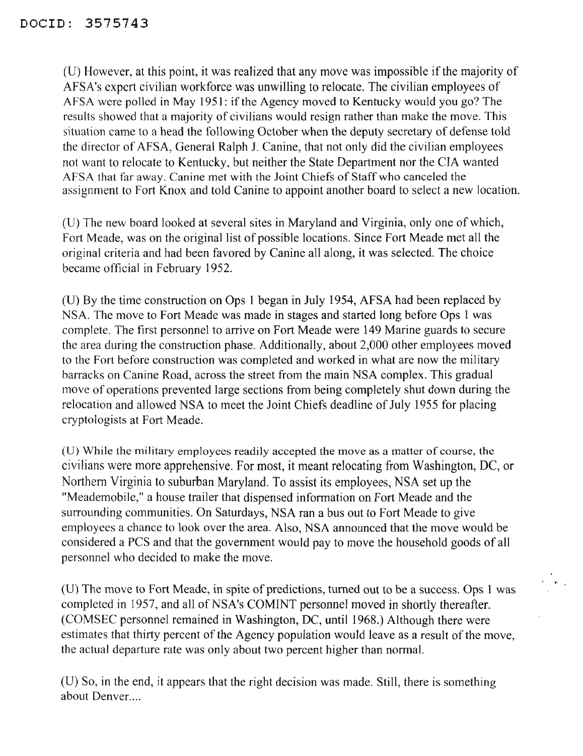(D) However, at this point, it was realized that any move was impossible ifthe majority of AFSA's expert civilian workforce was unwilling to relocate. The civilian employees of AFSA were polled in May 1951: if the Agency moved to Kentucky would you go? The results showed that a majority of civilians would resign rather than make the move. This situation came to a head the following October when the deputy secretary of defense told the director of AFSA, General Ralph 1. Canine, that not only did the civilian employees not want to relocate to Kentucky, but neither the State Department nor the CIA wanted AFSA that far away. Canine met with the Joint Chiefs of Staff who canceled the assignment to Fort Knox and told Canine to appoint another board to select a new location.

(U) The new board looked at several sites in Maryland and Virginia, only one of which, Fort Meade, was on the original list of possible locations. Since Fort Meade met all the original criteria and had been favored by Canine all along, it was selected. The choice became official in February 1952.

(D) By the time construction on Ops 1 began in July 1954, AFSA had been replaced by NSA. The move to Fort Meade was made in stages and started long before Ops 1 was complete. The first personnel to arrive on Fort Meade were 149 Marine guards to secure the area during the construction phase. Additionally, about 2,000 other employees moved to the Fort before construction was completed and worked in what are now the military barracks on Canine Road, across the street from the main NSA complex. This gradual move of operations prevented large sections from being completely shut down during the relocation and allowed NSA to meet the Joint Chiefs deadline of July 1955 for placing cryptologists at Fort Meade.

(D) While the military employees readily accepted the move as a matter of course, the civilians were more apprehensive. For most, it meant relocating from Washington, DC, or Northern Virginia to suburban Maryland. To assist its employees, NSA set up the "Meademobile," a house trailer that dispensed information on Fort Meade and the surrounding communities. On Saturdays, NSA ran a bus out to Fort Meade to give employees a chance to look over the area. Also, NSA announced that the move would be considered a PCS and that the government would pay to move the household goods of all personnel who decided to make the move.

(D) The move to Fort Meade, in spite of predictions, turned out to be a success. Ops 1 was completed in 1957, and all of NSA's COMINT personnel moved in shortly thereafter. (COMSEC personnel remained in Washington, DC, until 1968.) Although there were estimates that thirty percent of the Agency population would leave as a result of the move, the actual departure rate was only about two percent higher than normal.

(D) So, in the end, it appears that the right decision was made. Still, there is something about Denver....